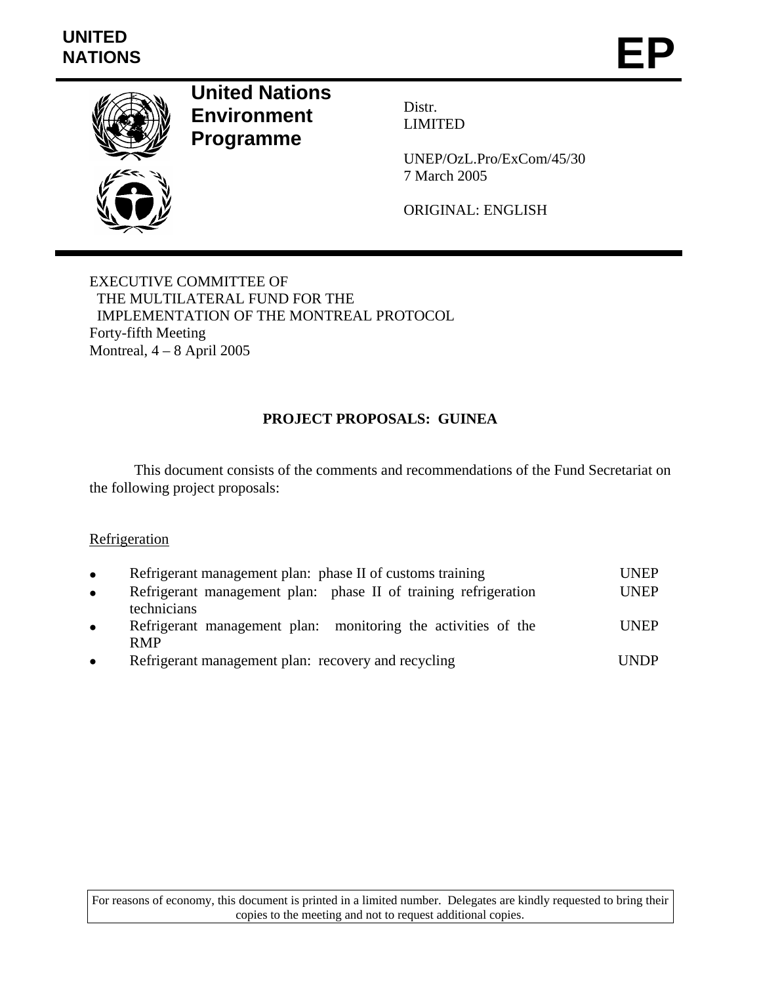

**United Nations Environment Programme** 

Distr. LIMITED

UNEP/OzL.Pro/ExCom/45/30 7 March 2005

ORIGINAL: ENGLISH

EXECUTIVE COMMITTEE OF THE MULTILATERAL FUND FOR THE IMPLEMENTATION OF THE MONTREAL PROTOCOL Forty-fifth Meeting Montreal,  $4 - 8$  April 2005

# **PROJECT PROPOSALS: GUINEA**

 This document consists of the comments and recommendations of the Fund Secretariat on the following project proposals:

## **Refrigeration**

| $\bullet$ | Refrigerant management plan: phase II of customs training                      | <b>UNEP</b> |
|-----------|--------------------------------------------------------------------------------|-------------|
| $\bullet$ | Refrigerant management plan: phase II of training refrigeration<br>technicians | <b>UNEP</b> |
| $\bullet$ | Refrigerant management plan: monitoring the activities of the<br><b>RMP</b>    | <b>UNEP</b> |
| $\bullet$ | Refrigerant management plan: recovery and recycling                            | <b>UNDP</b> |

For reasons of economy, this document is printed in a limited number. Delegates are kindly requested to bring their copies to the meeting and not to request additional copies.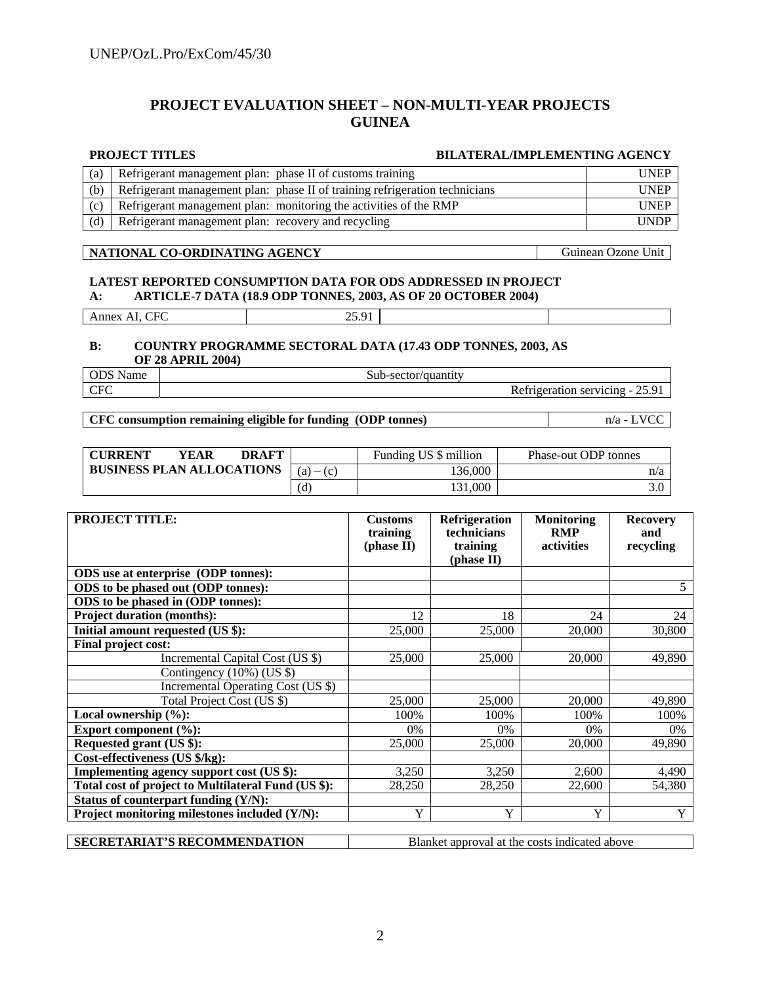## **PROJECT EVALUATION SHEET – NON-MULTI-YEAR PROJECTS GUINEA**

### **PROJECT TITLES BILATERAL/IMPLEMENTING AGENCY**

| (a) | Refrigerant management plan: phase II of customs training                   | <b>UNEP</b> |
|-----|-----------------------------------------------------------------------------|-------------|
| (b) | Refrigerant management plan: phase II of training refrigeration technicians | <b>UNEP</b> |
| (c) | Refrigerant management plan: monitoring the activities of the RMP           | <b>UNEP</b> |
| (d) | Refrigerant management plan: recovery and recycling                         | <b>UNDP</b> |

## **NATIONAL CO-ORDINATING AGENCY** Guinean Ozone Unit

## **LATEST REPORTED CONSUMPTION DATA FOR ODS ADDRESSED IN PROJECT A: ARTICLE-7 DATA (18.9 ODP TONNES, 2003, AS OF 20 OCTOBER 2004)**

| CFT<br>max<br>Annex Al,<br>u u<br>___ | $\sim$ 1<br>$\cap \subset$<br>. .<br>---<br>$- - - - -$ |  |
|---------------------------------------|---------------------------------------------------------|--|

## **B: COUNTRY PROGRAMME SECTORAL DATA (17.43 ODP TONNES, 2003, AS OF 28 APRIL 2004)**

| $\cap$                 | <b>TEL</b>                                                                                                 |
|------------------------|------------------------------------------------------------------------------------------------------------|
| $\sim$ $\sim$          | - ۹۵                                                                                                       |
| ----                   | ЮI                                                                                                         |
| ne                     | ∍uv∙                                                                                                       |
| vа                     | ີ                                                                                                          |
| C <sub>CT</sub><br>CTC | $\sim$<br>$\sim$<br>T.<br>servicing<br>ີ<br>. .<br>המדי<br>$\sim$<br>--<br>the contract of the contract of |

**CFC consumption remaining eligible for funding (ODP tonnes)** n/a - LVCC

| <b>CURRENT</b><br><b>DRAFT</b><br>YEAR |             | Funding US \$ million | Phase-out ODP tonnes |
|----------------------------------------|-------------|-----------------------|----------------------|
| <b>BUSINESS PLAN ALLOCATIONS</b>       | $(a) - (c)$ | 136.000               | n/a                  |
|                                        | (ď          | 131,000               |                      |

|                                                     | training<br>(phase II) | <b>Refrigeration</b><br>technicians<br>training<br>(phase II) | <b>Monitoring</b><br><b>RMP</b><br>activities | <b>Recovery</b><br>and<br>recycling |
|-----------------------------------------------------|------------------------|---------------------------------------------------------------|-----------------------------------------------|-------------------------------------|
| ODS use at enterprise (ODP tonnes):                 |                        |                                                               |                                               |                                     |
| ODS to be phased out (ODP tonnes):                  |                        |                                                               |                                               | 5                                   |
| ODS to be phased in (ODP tonnes):                   |                        |                                                               |                                               |                                     |
| <b>Project duration (months):</b>                   | 12                     | 18                                                            | 24                                            | 24                                  |
| Initial amount requested (US \$):                   | 25,000                 | 25,000                                                        | 20,000                                        | 30,800                              |
| <b>Final project cost:</b>                          |                        |                                                               |                                               |                                     |
| Incremental Capital Cost (US \$)                    | 25,000                 | 25,000                                                        | 20,000                                        | 49,890                              |
| Contingency $(10\%)$ (US \$)                        |                        |                                                               |                                               |                                     |
| Incremental Operating Cost (US \$)                  |                        |                                                               |                                               |                                     |
| Total Project Cost (US \$)                          | 25,000                 | 25,000                                                        | 20,000                                        | 49,890                              |
| Local ownership $(\%):$                             | 100%                   | 100%                                                          | 100%                                          | 100%                                |
| Export component $(\%):$                            | 0%                     | 0%                                                            | $0\%$                                         | 0%                                  |
| Requested grant (US \$):                            | 25,000                 | 25,000                                                        | 20,000                                        | 49,890                              |
| Cost-effectiveness (US \$/kg):                      |                        |                                                               |                                               |                                     |
| Implementing agency support cost (US \$):           | 3,250                  | 3,250                                                         | 2,600                                         | 4,490                               |
| Total cost of project to Multilateral Fund (US \$): | 28,250                 | 28,250                                                        | 22,600                                        | 54,380                              |
| Status of counterpart funding (Y/N):                |                        |                                                               |                                               |                                     |
| Project monitoring milestones included (Y/N):       | Y                      | Y                                                             | Y                                             | Y                                   |

Blanket approval at the costs indicated above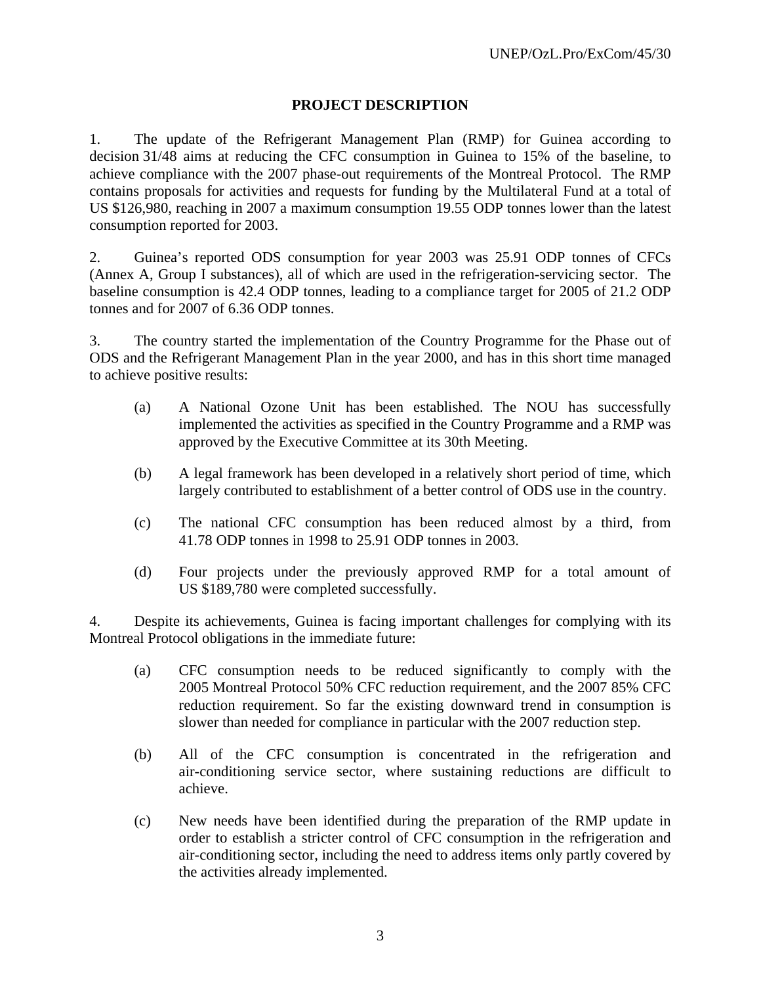## **PROJECT DESCRIPTION**

1. The update of the Refrigerant Management Plan (RMP) for Guinea according to decision 31/48 aims at reducing the CFC consumption in Guinea to 15% of the baseline, to achieve compliance with the 2007 phase-out requirements of the Montreal Protocol. The RMP contains proposals for activities and requests for funding by the Multilateral Fund at a total of US \$126,980, reaching in 2007 a maximum consumption 19.55 ODP tonnes lower than the latest consumption reported for 2003.

2. Guinea's reported ODS consumption for year 2003 was 25.91 ODP tonnes of CFCs (Annex A, Group I substances), all of which are used in the refrigeration-servicing sector. The baseline consumption is 42.4 ODP tonnes, leading to a compliance target for 2005 of 21.2 ODP tonnes and for 2007 of 6.36 ODP tonnes.

3. The country started the implementation of the Country Programme for the Phase out of ODS and the Refrigerant Management Plan in the year 2000, and has in this short time managed to achieve positive results:

- (a) A National Ozone Unit has been established. The NOU has successfully implemented the activities as specified in the Country Programme and a RMP was approved by the Executive Committee at its 30th Meeting.
- (b) A legal framework has been developed in a relatively short period of time, which largely contributed to establishment of a better control of ODS use in the country.
- (c) The national CFC consumption has been reduced almost by a third, from 41.78 ODP tonnes in 1998 to 25.91 ODP tonnes in 2003.
- (d) Four projects under the previously approved RMP for a total amount of US \$189,780 were completed successfully.

4. Despite its achievements, Guinea is facing important challenges for complying with its Montreal Protocol obligations in the immediate future:

- (a) CFC consumption needs to be reduced significantly to comply with the 2005 Montreal Protocol 50% CFC reduction requirement, and the 2007 85% CFC reduction requirement. So far the existing downward trend in consumption is slower than needed for compliance in particular with the 2007 reduction step.
- (b) All of the CFC consumption is concentrated in the refrigeration and air-conditioning service sector, where sustaining reductions are difficult to achieve.
- (c) New needs have been identified during the preparation of the RMP update in order to establish a stricter control of CFC consumption in the refrigeration and air-conditioning sector, including the need to address items only partly covered by the activities already implemented.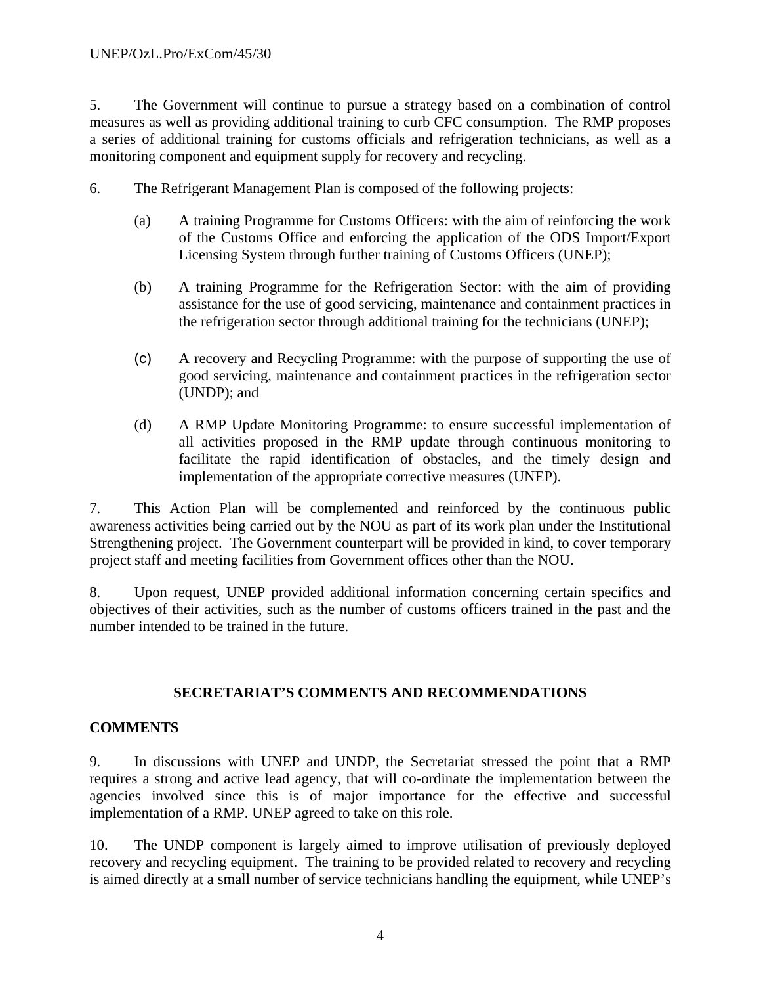5. The Government will continue to pursue a strategy based on a combination of control measures as well as providing additional training to curb CFC consumption. The RMP proposes a series of additional training for customs officials and refrigeration technicians, as well as a monitoring component and equipment supply for recovery and recycling.

- 6. The Refrigerant Management Plan is composed of the following projects:
	- (a) A training Programme for Customs Officers: with the aim of reinforcing the work of the Customs Office and enforcing the application of the ODS Import/Export Licensing System through further training of Customs Officers (UNEP);
	- (b) A training Programme for the Refrigeration Sector: with the aim of providing assistance for the use of good servicing, maintenance and containment practices in the refrigeration sector through additional training for the technicians (UNEP);
	- (c) A recovery and Recycling Programme: with the purpose of supporting the use of good servicing, maintenance and containment practices in the refrigeration sector (UNDP); and
	- (d) A RMP Update Monitoring Programme: to ensure successful implementation of all activities proposed in the RMP update through continuous monitoring to facilitate the rapid identification of obstacles, and the timely design and implementation of the appropriate corrective measures (UNEP).

7. This Action Plan will be complemented and reinforced by the continuous public awareness activities being carried out by the NOU as part of its work plan under the Institutional Strengthening project. The Government counterpart will be provided in kind, to cover temporary project staff and meeting facilities from Government offices other than the NOU.

8. Upon request, UNEP provided additional information concerning certain specifics and objectives of their activities, such as the number of customs officers trained in the past and the number intended to be trained in the future.

# **SECRETARIAT'S COMMENTS AND RECOMMENDATIONS**

# **COMMENTS**

9. In discussions with UNEP and UNDP, the Secretariat stressed the point that a RMP requires a strong and active lead agency, that will co-ordinate the implementation between the agencies involved since this is of major importance for the effective and successful implementation of a RMP. UNEP agreed to take on this role.

10. The UNDP component is largely aimed to improve utilisation of previously deployed recovery and recycling equipment. The training to be provided related to recovery and recycling is aimed directly at a small number of service technicians handling the equipment, while UNEP's